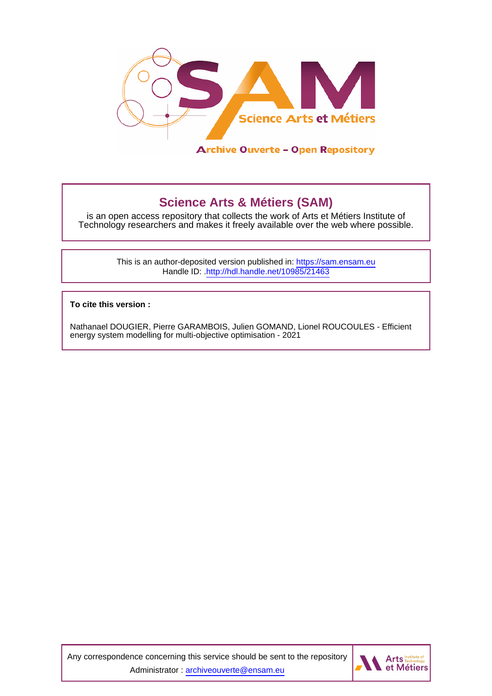

**Science Arts & Métiers (SAM)** is an open access repository that collects the work of Arts et Métiers Institute of Technology researchers and makes it freely available over the web where possible.

> This is an author-deposited version published in:<https://sam.ensam.eu> Handle ID: [.http://hdl.handle.net/10985/21463](http://hdl.handle.net/10985/21463)

**To cite this version :**

Nathanael DOUGIER, Pierre GARAMBOIS, Julien GOMAND, Lionel ROUCOULES - Efficient energy system modelling for multi-objective optimisation - 2021

Any correspondence concerning this service should be sent to the repository Administrator : [archiveouverte@ensam.eu](mailto:archiveouverte@ensam.eu)

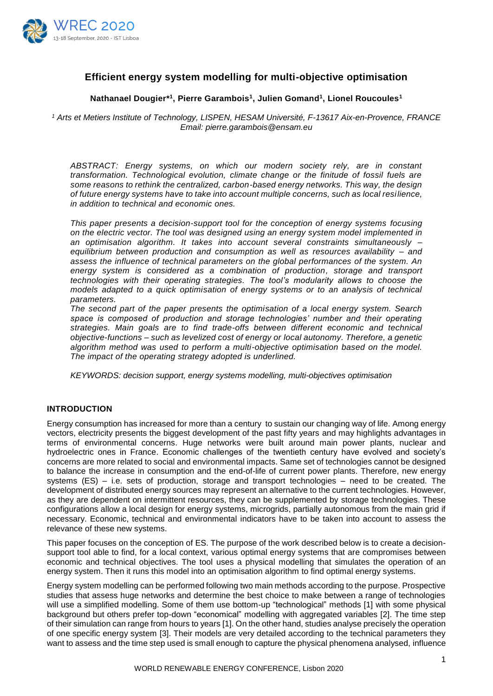

# **Efficient energy system modelling for multi-objective optimisation**

# **Nathanael Dougier\* 1 , Pierre Garambois<sup>1</sup> , Julien Gomand<sup>1</sup> , Lionel Roucoules<sup>1</sup>**

*<sup>1</sup> Arts et Metiers Institute of Technology, LISPEN, HESAM Université, F-13617 Aix-en-Provence, FRANCE Email: [pierre.garambois@ensam.eu](mailto:pierre.garambois@ensam.eu)*

*ABSTRACT: Energy systems, on which our modern society rely, are in constant transformation. Technological evolution, climate change or the finitude of fossil fuels are some reasons to rethink the centralized, carbon-based energy networks. This way, the design of future energy systems have to take into account multiple concerns, such as local resi lience, in addition to technical and economic ones.*

*This paper presents a decision-support tool for the conception of energy systems focusing on the electric vector. The tool was designed using an energy system model implemented in an optimisation algorithm. It takes into account several constraints simultaneously – equilibrium between production and consumption as well as resources availability – and assess the influence of technical parameters on the global performances of the system. An energy system is considered as a combination of production, storage and transport technologies with their operating strategies. The tool's modularity allows to choose the models adapted to a quick optimisation of energy systems or to an analysis of technical parameters.* 

*The second part of the paper presents the optimisation of a local energy system. Search*  space is composed of production and storage technologies' number and their operating *strategies. Main goals are to find trade-offs between different economic and technical objective-functions – such as levelized cost of energy or local autonomy. Therefore, a genetic algorithm method was used to perform a multi-objective optimisation based on the model. The impact of the operating strategy adopted is underlined.*

*KEYWORDS: decision support, energy systems modelling, multi-objectives optimisation* 

# **INTRODUCTION**

Energy consumption has increased for more than a century to sustain our changing way of life. Among energy vectors, electricity presents the biggest development of the past fifty years and may highlights advantages in terms of environmental concerns. Huge networks were built around main power plants, nuclear and hydroelectric ones in France. Economic challenges of the twentieth century have evolved and society's concerns are more related to social and environmental impacts. Same set of technologies cannot be designed to balance the increase in consumption and the end-of-life of current power plants. Therefore, new energy systems (ES) – i.e. sets of production, storage and transport technologies – need to be created. The development of distributed energy sources may represent an alternative to the current technologies. However, as they are dependent on intermittent resources, they can be supplemented by storage technologies. These configurations allow a local design for energy systems, microgrids, partially autonomous from the main grid if necessary. Economic, technical and environmental indicators have to be taken into account to assess the relevance of these new systems.

This paper focuses on the conception of ES. The purpose of the work described below is to create a decisionsupport tool able to find, for a local context, various optimal energy systems that are compromises between economic and technical objectives. The tool uses a physical modelling that simulates the operation of an energy system. Then it runs this model into an optimisation algorithm to find optimal energy systems.

Energy system modelling can be performed following two main methods according to the purpose. Prospective studies that assess huge networks and determine the best choice to make between a range of technologies will use a simplified modelling. Some of them use bottom-up "technological" methods [1] with some physical background but others prefer top-down "economical" modelling with aggregated variables [2]. The time step of their simulation can range from hours to years [1]. On the other hand, studies analyse precisely the operation of one specific energy system [3]. Their models are very detailed according to the technical parameters they want to assess and the time step used is small enough to capture the physical phenomena analysed, influence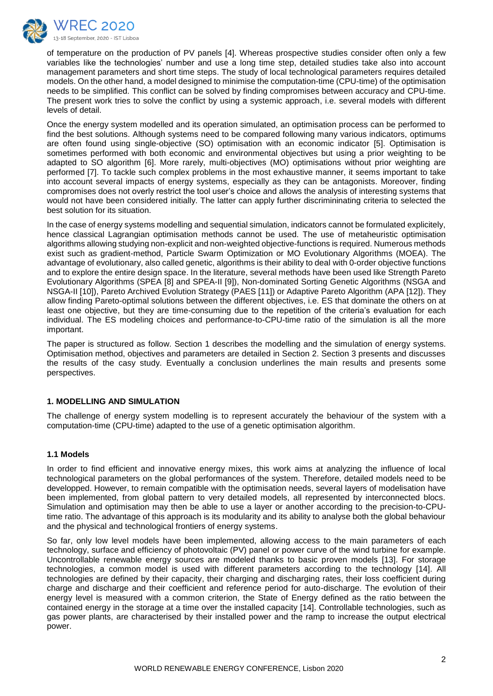

of temperature on the production of PV panels [4]. Whereas prospective studies consider often only a few variables like the technologies' number and use a long time step, detailed studies take also into account management parameters and short time steps. The study of local technological parameters requires detailed models. On the other hand, a model designed to minimise the computation-time (CPU-time) of the optimisation needs to be simplified. This conflict can be solved by finding compromises between accuracy and CPU-time. The present work tries to solve the conflict by using a systemic approach, i.e. several models with different levels of detail.

Once the energy system modelled and its operation simulated, an optimisation process can be performed to find the best solutions. Although systems need to be compared following many various indicators, optimums are often found using single-objective (SO) optimisation with an economic indicator [5]. Optimisation is sometimes performed with both economic and environmental objectives but using a prior weighting to be adapted to SO algorithm [6]. More rarely, multi-objectives (MO) optimisations without prior weighting are performed [7]. To tackle such complex problems in the most exhaustive manner, it seems important to take into account several impacts of energy systems, especially as they can be antagonists. Moreover, finding compromises does not overly restrict the tool user's choice and allows the analysis of interesting systems that would not have been considered initially. The latter can apply further discrimininating criteria to selected the best solution for its situation.

In the case of energy systems modelling and sequential simulation, indicators cannot be formulated explicitely, hence classical Lagrangian optimisation methods cannot be used. The use of metaheuristic optimisation algorithms allowing studying non-explicit and non-weighted objective-functions is required. Numerous methods exist such as gradient-method, Particle Swarm Optimization or MO Evolutionary Algorithms (MOEA). The advantage of evolutionary, also called genetic, algorithms is their ability to deal with 0-order objective functions and to explore the entire design space. In the literature, several methods have been used like Strength Pareto Evolutionary Algorithms (SPEA [8] and SPEA-II [9]), Non-dominated Sorting Genetic Algorithms (NSGA and NSGA-II [10]), Pareto Archived Evolution Strategy (PAES [11]) or Adaptive Pareto Algorithm (APA [12]). They allow finding Pareto-optimal solutions between the different objectives, i.e. ES that dominate the others on at least one objective, but they are time-consuming due to the repetition of the criteria's evaluation for each individual. The ES modeling choices and performance-to-CPU-time ratio of the simulation is all the more important.

The paper is structured as follow. Section 1 describes the modelling and the simulation of energy systems. Optimisation method, objectives and parameters are detailed in Section 2. Section 3 presents and discusses the results of the casy study. Eventually a conclusion underlines the main results and presents some perspectives.

# **1. MODELLING AND SIMULATION**

The challenge of energy system modelling is to represent accurately the behaviour of the system with a computation-time (CPU-time) adapted to the use of a genetic optimisation algorithm.

#### **1.1 Models**

In order to find efficient and innovative energy mixes, this work aims at analyzing the influence of local technological parameters on the global performances of the system. Therefore, detailed models need to be developped. However, to remain compatible with the optimisation needs, several layers of modelisation have been implemented, from global pattern to very detailed models, all represented by interconnected blocs. Simulation and optimisation may then be able to use a layer or another according to the precision-to-CPUtime ratio. The advantage of this approach is its modularity and its ability to analyse both the global behaviour and the physical and technological frontiers of energy systems.

So far, only low level models have been implemented, allowing access to the main parameters of each technology, surface and efficiency of photovoltaic (PV) panel or power curve of the wind turbine for example. Uncontrollable renewable energy sources are modeled thanks to basic proven models [13]. For storage technologies, a common model is used with different parameters according to the technology [14]. All technologies are defined by their capacity, their charging and discharging rates, their loss coefficient during charge and discharge and their coefficient and reference period for auto-discharge. The evolution of their energy level is measured with a common criterion, the State of Energy defined as the ratio between the contained energy in the storage at a time over the installed capacity [14]. Controllable technologies, such as gas power plants, are characterised by their installed power and the ramp to increase the output electrical power.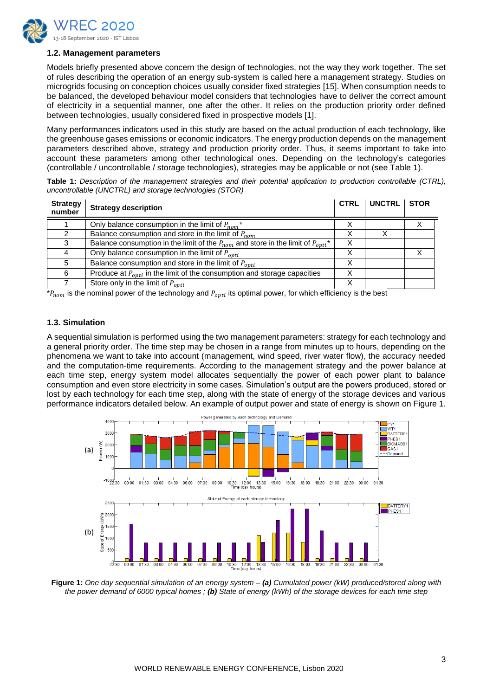

#### **1.2. Management parameters**

Models briefly presented above concern the design of technologies, not the way they work together. The set of rules describing the operation of an energy sub-system is called here a management strategy. Studies on microgrids focusing on conception choices usually consider fixed strategies [15]. When consumption needs to be balanced, the developed behaviour model considers that technologies have to deliver the correct amount of electricity in a sequential manner, one after the other. It relies on the production priority order defined between technologies, usually considered fixed in prospective models [1].

Many performances indicators used in this study are based on the actual production of each technology, like the greenhouse gases emissions or economic indicators. The energy production depends on the management parameters described above, strategy and production priority order. Thus, it seems important to take into account these parameters among other technological ones. Depending on the technology's categories (controllable / uncontrollable / storage technologies), strategies may be applicable or not (see Table 1).

| <b>Table 1:</b> Description of the management strategies and their potential application to production controllable (CTRL), |  |  |  |  |
|-----------------------------------------------------------------------------------------------------------------------------|--|--|--|--|
| uncontrollable (UNCTRL) and storage technologies (STOR)                                                                     |  |  |  |  |

| <b>Strategy</b><br>number | <b>Strategy description</b>                                                              | <b>CTRL</b> | UNCTRL STOR |  |
|---------------------------|------------------------------------------------------------------------------------------|-------------|-------------|--|
|                           | Only balance consumption in the limit of $P_{nom}^*$                                     |             |             |  |
|                           | Balance consumption and store in the limit of $P_{nom}$                                  |             |             |  |
|                           | Balance consumption in the limit of the $P_{nom}$ and store in the limit of $P_{outi}^*$ | X           |             |  |
|                           | Only balance consumption in the limit of $P_{opti}$                                      | X           |             |  |
| 5                         | Balance consumption and store in the limit of $P_{\text{opti}}$                          | X           |             |  |
| 6                         | Produce at $P_{opti}$ in the limit of the consumption and storage capacities             | Χ           |             |  |
|                           | Store only in the limit of $P_{\text{opti}}$                                             | Χ           |             |  |

 $A_{nom}$  is the nominal power of the technology and  $P_{onti}$  its optimal power, for which efficiency is the best

#### **1.3. Simulation**

A sequential simulation is performed using the two management parameters: strategy for each technology and a general priority order. The time step may be chosen in a range from minutes up to hours, depending on the phenomena we want to take into account (management, wind speed, river water flow), the accuracy needed and the computation-time requirements. According to the management strategy and the power balance at each time step, energy system model allocates sequentially the power of each power plant to balance consumption and even store electricity in some cases. Simulation's output are the powers produced, stored or lost by each technology for each time step, along with the state of energy of the storage devices and various performance indicators detailed below. An example of output power and state of energy is shown on Figure 1.



**Figure 1:** *One day sequential simulation of an energy system – (a) Cumulated power (kW) produced/stored along with the power demand of 6000 typical homes ; (b) State of energy (kWh) of the storage devices for each time step*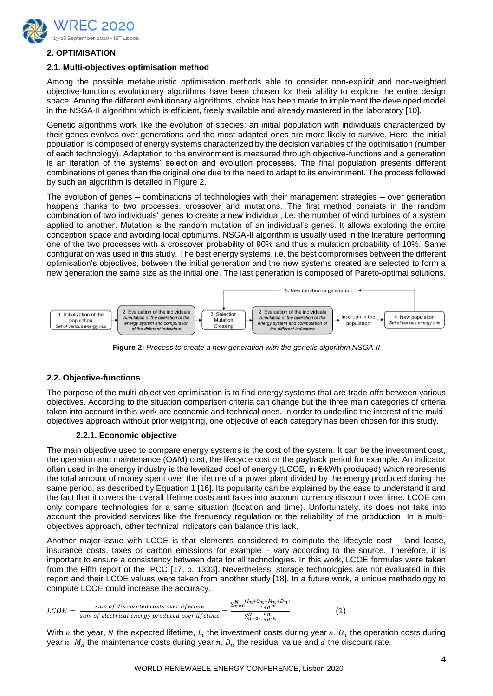

# **2. OPTIMISATION**

#### **2.1. Multi-objectives optimisation method**

Among the possible metaheuristic optimisation methods able to consider non-explicit and non-weighted objective-functions evolutionary algorithms have been chosen for their ability to explore the entire design space. Among the different evolutionary algorithms, choice has been made to implement the developed model in the NSGA-II algorithm which is efficient, freely available and already mastered in the laboratory [10].

Genetic algorithms work like the evolution of species: an initial population with individuals characterized by their genes evolves over generations and the most adapted ones are more likely to survive. Here, the initial population is composed of energy systems characterized by the decision variables of the optimisation (number of each technology). Adaptation to the environment is measured through objective-functions and a generation is an iteration of the systems' selection and evolution processes. The final population presents different combinations of genes than the original one due to the need to adapt to its environment. The process followed by such an algorithm is detailed in Figure 2.

The evolution of genes – combinations of technologies with their management strategies – over generation happens thanks to two processes, crossover and mutations. The first method consists in the random combination of two individuals' genes to create a new individual, i.e. the number of wind turbines of a system applied to another. Mutation is the random mutation of an individual's genes. It allows exploring the entire conception space and avoiding local optimums. NSGA-II algorithm is usually used in the literature performing one of the two processes with a crossover probability of 90% and thus a mutation probability of 10%. Same configuration was used in this study. The best energy systems, i.e. the best compromises between the different optimisation's objectives, between the initial generation and the new systems created are selected to form a new generation the same size as the initial one. The last generation is composed of Pareto-optimal solutions.



**Figure 2:** *Process to create a new generation with the genetic algorithm NSGA-II*

# **2.2. Objective-functions**

The purpose of the multi-objectives optimisation is to find energy systems that are trade-offs between various objectives. According to the situation comparison criteria can change but the three main categories of criteria taken into account in this work are economic and technical ones. In order to underline the interest of the multiobjectives approach without prior weighting, one objective of each category has been chosen for this study.

# **2.2.1. Economic objective**

The main objective used to compare energy systems is the cost of the system. It can be the investment cost, the operation and maintenance (O&M) cost, the lifecycle cost or the payback period for example. An indicator often used in the energy industry is the levelized cost of energy (LCOE, in €/kWh produced) which represents the total amount of money spent over the lifetime of a power plant divided by the energy produced during the same period, as described by Equation 1 [16]. Its popularity can be explained by the ease to understand it and the fact that it covers the overall lifetime costs and takes into account currency discount over time. LCOE can only compare technologies for a same situation (location and time). Unfortunately, its does not take into account the provided services like the frequency regulation or the reliability of the production. In a multiobjectives approach, other technical indicators can balance this lack.

Another major issue with LCOE is that elements considered to compute the lifecycle cost – land lease, insurance costs, taxes or carbon emissions for example – vary according to the source. Therefore, it is important to ensure a consistency between data for all technologies. In this work, LCOE formulas were taken from the Fifth report of the IPCC [17, p. 1333]. Nevertheless, storage technologies are not evaluated in this report and their LCOE values were taken from another study [18]. In a future work, a unique methodology to compute LCOE could increase the accuracy.

$$
LCOE = \frac{\text{sum of discounted costs over lifetime}}{\text{sum of electrical energy produced over lifetime}} = \frac{\sum_{n=0}^{N} \frac{(I_n + O_n + M_n + D_n)}{(1 + d)^n}}{\sum_{n=0}^{N} \frac{E_n}{(1 + d)^n}}
$$
(1)

With *n* the year, *N* the expected lifetime,  $I_n$  the investment costs during year *n*,  $O_n$  the operation costs during year n,  $M_n$ , the maintenance costs during year n,  $D_n$ , the residual value and d the discount rate.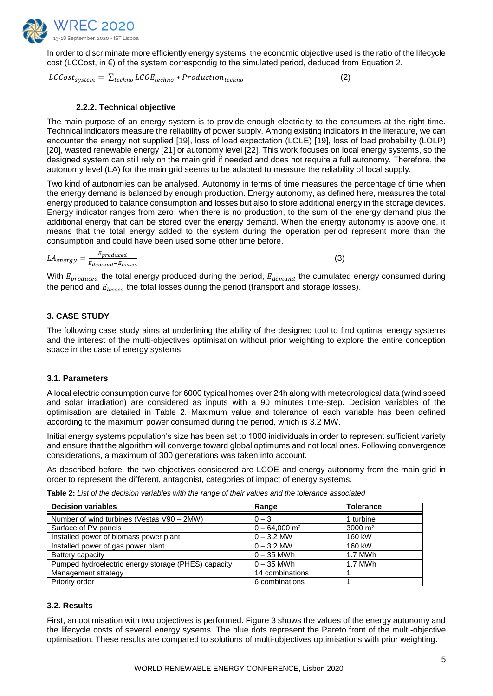

In order to discriminate more efficiently energy systems, the economic objective used is the ratio of the lifecycle cost (LCCost, in €) of the system correspondig to the simulated period, deduced from Equation 2.

 $LCCost_{system} = \sum_{techno} LCOE_{techno} * Production_{techno}$  (2)

#### **2.2.2. Technical objective**

The main purpose of an energy system is to provide enough electricity to the consumers at the right time. Technical indicators measure the reliability of power supply. Among existing indicators in the literature, we can encounter the energy not supplied [19], loss of load expectation (LOLE) [19], loss of load probability (LOLP) [20], wasted renewable energy [21] or autonomy level [22]. This work focuses on local energy systems, so the designed system can still rely on the main grid if needed and does not require a full autonomy. Therefore, the autonomy level (LA) for the main grid seems to be adapted to measure the reliability of local supply.

Two kind of autonomies can be analysed. Autonomy in terms of time measures the percentage of time when the energy demand is balanced by enough production. Energy autonomy, as defined here, measures the total energy produced to balance consumption and losses but also to store additional energy in the storage devices. Energy indicator ranges from zero, when there is no production, to the sum of the energy demand plus the additional energy that can be stored over the energy demand. When the energy autonomy is above one, it means that the total energy added to the system during the operation period represent more than the consumption and could have been used some other time before.

 $LA_{energy} = \frac{E_{produced}}{E_{downed} + E_{tot}}$  $E_{demand} + E_{losses}$ 

(3)

With  $E_{produced}$  the total energy produced during the period,  $E_{demand}$  the cumulated energy consumed during the period and  $E_{losses}$  the total losses during the period (transport and storage losses).

# **3. CASE STUDY**

The following case study aims at underlining the ability of the designed tool to find optimal energy systems and the interest of the multi-objectives optimisation without prior weighting to explore the entire conception space in the case of energy systems.

#### **3.1. Parameters**

A local electric consumption curve for 6000 typical homes over 24h along with meteorological data (wind speed and solar irradiation) are considered as inputs with a 90 minutes time-step. Decision variables of the optimisation are detailed in Table 2. Maximum value and tolerance of each variable has been defined according to the maximum power consumed during the period, which is 3.2 MW.

Initial energy systems population's size has been set to 1000 inidividuals in order to represent sufficient variety and ensure that the algorithm will converge toward global optimums and not local ones. Following convergence considerations, a maximum of 300 generations was taken into account.

As described before, the two objectives considered are LCOE and energy autonomy from the main grid in order to represent the different, antagonist, categories of impact of energy systems.

**Table 2:** *List of the decision variables with the range of their values and the tolerance associated*

| <b>Decision variables</b>                           | Range                       | <b>Tolerance</b>   |
|-----------------------------------------------------|-----------------------------|--------------------|
| Number of wind turbines (Vestas V90 - 2MW)          | $0 - 3$                     | 1 turbine          |
| Surface of PV panels                                | $0 - 64,000$ m <sup>2</sup> | $3000 \text{ m}^2$ |
| Installed power of biomass power plant              | $0 - 3.2$ MW                | 160 kW             |
| Installed power of gas power plant                  | $0 - 3.2$ MW                | 160 kW             |
| Battery capacity                                    | $0 - 35$ MWh                | 1.7 MWh            |
| Pumped hydroelectric energy storage (PHES) capacity | $0 - 35$ MWh                | 1.7 MWh            |
| Management strategy                                 | 14 combinations             |                    |
| Priority order                                      | 6 combinations              |                    |

#### **3.2. Results**

First, an optimisation with two objectives is performed. Figure 3 shows the values of the energy autonomy and the lifecycle costs of several energy sysems. The blue dots represent the Pareto front of the multi-objective optimisation. These results are compared to solutions of multi-objectives optimisations with prior weighting.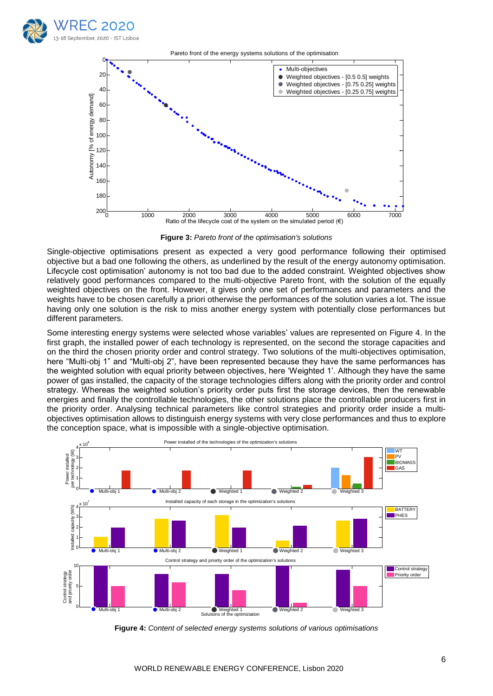



**Figure 3:** *Pareto front of the optimisation's solutions*

Single-objective optimisations present as expected a very good performance following their optimised objective but a bad one following the others, as underlined by the result of the energy autonomy optimisation. Lifecycle cost optimisation' autonomy is not too bad due to the added constraint. Weighted objectives show relatively good performances compared to the multi-objective Pareto front, with the solution of the equally weighted objectives on the front. However, it gives only one set of performances and parameters and the weights have to be chosen carefully a priori otherwise the performances of the solution varies a lot. The issue having only one solution is the risk to miss another energy system with potentially close performances but different parameters.

Some interesting energy systems were selected whose variables' values are represented on Figure 4. In the first graph, the installed power of each technology is represented, on the second the storage capacities and on the third the chosen priority order and control strategy. Two solutions of the multi-objectives optimisation, here "Multi-obj 1" and "Multi-obj 2", have been represented because they have the same performances has the weighted solution with equal priority between objectives, here 'Weighted 1'. Although they have the same power of gas installed, the capacity of the storage technologies differs along with the priority order and control strategy. Whereas the weighted solution's priority order puts first the storage devices, then the renewable energies and finally the controllable technologies, the other solutions place the controllable producers first in the priority order. Analysing technical parameters like control strategies and priority order inside a multiobjectives optimisation allows to distinguish energy systems with very close performances and thus to explore the conception space, what is impossible with a single-objective optimisation.



**Figure 4:** Content of selected energy systems solutions of various optimisations Figure 4: Content of selected energy systems solutions of various optimis  $\mathcal{O}_1$  .  $\mathcal{O}_2$  objectives  $\mathcal{O}_3$  of  $\mathcal{O}_3$  weights  $\mathcal{O}_4$  with  $\mathcal{O}_4$  with  $\mathcal{O}_4$  with  $\mathcal{O}_4$  with  $\mathcal{O}_4$  with  $\mathcal{O}_4$  with  $\mathcal{O}_4$  with  $\mathcal{O}_4$  with  $\mathcal{O}_4$  with  $\mathcal{O}_4$  with  $\mathcal{O}_$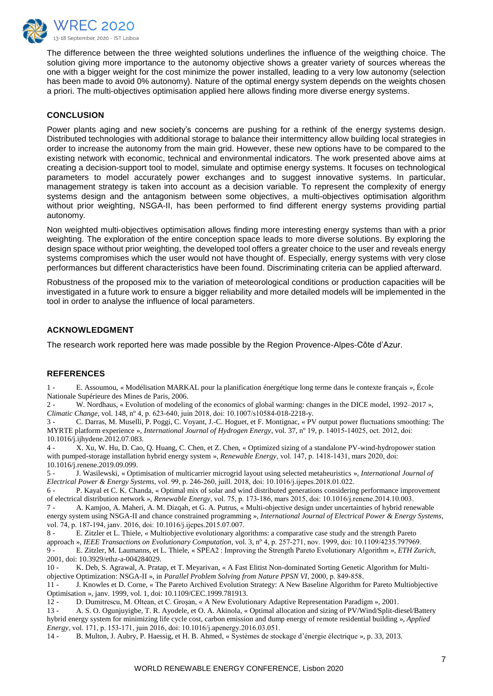

The difference between the three weighted solutions underlines the influence of the weigthing choice. The solution giving more importance to the autonomy objective shows a greater variety of sources whereas the one with a bigger weight for the cost minimize the power installed, leading to a very low autonomy (selection has been made to avoid 0% autonomy). Nature of the optimal energy system depends on the weights chosen a priori. The multi-objectives optimisation applied here allows finding more diverse energy systems.

# **CONCLUSION**

Power plants aging and new society's concerns are pushing for a rethink of the energy systems design. Distributed technologies with additional storage to balance their intermittency allow building local strategies in order to increase the autonomy from the main grid. However, these new options have to be compared to the existing network with economic, technical and environmental indicators. The work presented above aims at creating a decision-support tool to model, simulate and optimise energy systems. It focuses on technological parameters to model accurately power exchanges and to suggest innovative systems. In particular, management strategy is taken into account as a decision variable. To represent the complexity of energy systems design and the antagonism between some objectives, a multi-objectives optimisation algorithm without prior weighting, NSGA-II, has been performed to find different energy systems providing partial autonomy.

Non weighted multi-objectives optimisation allows finding more interesting energy systems than with a prior weighting. The exploration of the entire conception space leads to more diverse solutions. By exploring the design space without prior weighting, the developed tool offers a greater choice to the user and reveals energy systems compromises which the user would not have thought of. Especially, energy systems with very close performances but different characteristics have been found. Discriminating criteria can be applied afterward.

Robustness of the proposed mix to the variation of meteorological conditions or production capacities will be investigated in a future work to ensure a bigger reliability and more detailed models will be implemented in the tool in order to analyse the influence of local parameters.

# **ACKNOWLEDGMENT**

The research work reported here was made possible by the Region Provence-Alpes-Côte d'Azur.

#### **REFERENCES**

1 - E. Assoumou, « Modélisation MARKAL pour la planification énergétique long terme dans le contexte français », École Nationale Supérieure des Mines de Paris, 2006.

2 - W. Nordhaus, « Evolution of modeling of the economics of global warming: changes in the DICE model, 1992–2017 », *Climatic Change*, vol. 148, nº 4, p. 623-640, juin 2018, doi: 10.1007/s10584-018-2218-y.

3 - C. Darras, M. Muselli, P. Poggi, C. Voyant, J.-C. Hoguet, et F. Montignac, « PV output power fluctuations smoothing: The MYRTE platform experience », *International Journal of Hydrogen Energy*, vol. 37, n<sup>o</sup> 19, p. 14015-14025, oct. 2012, doi: 10.1016/j.ijhydene.2012.07.083.

4 - X. Xu, W. Hu, D. Cao, Q. Huang, C. Chen, et Z. Chen, « Optimized sizing of a standalone PV-wind-hydropower station with pumped-storage installation hybrid energy system », *Renewable Energy*, vol. 147, p. 1418-1431, mars 2020, doi: 10.1016/j.renene.2019.09.099.

5 - J. Wasilewski, « Optimisation of multicarrier microgrid layout using selected metaheuristics », *International Journal of Electrical Power & Energy Systems*, vol. 99, p. 246‑260, juill. 2018, doi: 10.1016/j.ijepes.2018.01.022.

6 - P. Kayal et C. K. Chanda, « Optimal mix of solar and wind distributed generations considering performance improvement of electrical distribution network », *Renewable Energy*, vol. 75, p. 173‑186, mars 2015, doi: 10.1016/j.renene.2014.10.003.

7 - A. Kamjoo, A. Maheri, A. M. Dizqah, et G. A. Putrus, « Multi-objective design under uncertainties of hybrid renewable energy system using NSGA-II and chance constrained programming », *International Journal of Electrical Power & Energy Systems*, vol. 74, p. 187-194, janv. 2016, doi: 10.1016/j.ijepes.2015.07.007.

8 - E. Zitzler et L. Thiele, « Multiobjective evolutionary algorithms: a comparative case study and the strength Pareto approach », *IEEE Transactions on Evolutionary Computation*, vol. 3, n<sup>o</sup> 4, p. 257-271, nov. 1999, doi: 10.1109/4235.797969. 9 - E. Zitzler, M. Laumanns, et L. Thiele, « SPEA2 : Improving the Strength Pareto Evolutionary Algorithm », *ETH Zurich*, 2001, doi: 10.3929/ethz-a-004284029.

10 - K. Deb, S. Agrawal, A. Pratap, et T. Meyarivan, « A Fast Elitist Non-dominated Sorting Genetic Algorithm for Multiobjective Optimization: NSGA-II », in *Parallel Problem Solving from Nature PPSN VI*, 2000, p. 849‑858.

11 - J. Knowles et D. Corne, « The Pareto Archived Evolution Strategy: A New Baseline Algorithm for Pareto Multiobjective Optimisation », janv. 1999, vol. 1, doi: 10.1109/CEC.1999.781913.

12 - D. Dumitrescu, M. Oltean, et C. Groşan, « A New Evolutionary Adaptive Representation Paradigm », 2001.

13 - A. S. O. Ogunjuyigbe, T. R. Ayodele, et O. A. Akinola, « Optimal allocation and sizing of PV/Wind/Split-diesel/Battery hybrid energy system for minimizing life cycle cost, carbon emission and dump energy of remote residential building », *Applied Energy*, vol. 171, p. 153‑171, juin 2016, doi: 10.1016/j.apenergy.2016.03.051.

14 - B. Multon, J. Aubry, P. Haessig, et H. B. Ahmed, « Systèmes de stockage d'énergie électrique », p. 33, 2013.